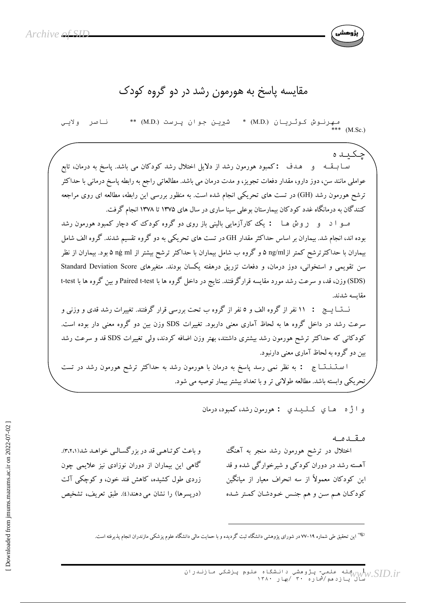

## مقایسه پاسخ به هورمون رشد در دو گروه کودک

مـهِرنـوش کـوثـریـان (M.D.) \*<br>\*\*\* (M.Sc.) شربن جوان پرست (M.D.) \*\* ناصر ولابي

جکید ہ سـا بــقــه و هــدف : كمبود هورمون رشد از دلايل اختلال رشد كودكان مى باشد. پاسخ به درمان، تابع عواملی مانند سن، دوز دارو، مقدار دفعات تجویز، و مدت درمان می باشد. مطالعاتی راجع به رابطه پاسخ درمانی با حداکثر ترشح هورمون رشد (GH) در تست های تحریکی انجام شده است. به منظور بررسی این رابطه، مطالعه ای روی مراجعه کنندگان به درمانگاه غدد کو دکان بیمارستان بوعلی سینا ساری در سال های ۱۳۷۵ تا ۱۳۷۸ انجام گرفت.

مــو ا د و ر و ش هــا : یک کارآزمایی بالینی باز روی دو گروه کودک که دچار کمبود هورمون رشد بوده اند، انجام شد. بیماران بر اساس حداکثر مقدار GH در تست های تحریکی به دو گروه تقسیم شدند. گروه الف شامل بیماران با حداکثرترشح کمتر ازng/ml ۵ و گروه ب شامل بیماران با حداکثر ترشح بیشتر از ng ml ۵ بود. بیماران از نظر سن تقویمی و استخوانی، دوز درمان، و دفعات تزریق درهفته یکسان بودند. متغیرهای Standard Deviation Score (SDS) وزن، قد، و سرعت رشد مورد مقايسه قرارگرفتند. نتايج در داخل گروه ها با Paired t-test و بين گروه ها با t-test مقايسه شدند.

نـــتـــا يــــج : ١١ نفر از گروه الف و ٥ نفر از گروه ب تحت بررسی قرار گرفتند. تغییرات رشد قدی و وزنی و سرعت رشد در داخل گروه ها به لحاظ آماری معنی داربود. تغییرات SDS وزن بین دو گروه معنی دار بوده است. کودکانی که حداکثر ترشح هورمون رشد بیشتری داشتند، بهتر وزن اضافه کردند، ولی تغییرات SDS قد و سرعت رشد بین دو گروه به لحاظ آماری معنی دارنبود.

ا سـتـــنـــــــــا ج : به نظر نمي رسد پاسخ به درمان با هورمون رشد به حداكثر ترشح هورمون رشد در تست تحریکی وابسته باشد. مطالعه طولانی تر و با تعداد بیشتر بیمار توصیه می شود.

و اثره های کلیدی : هورمون رشد، کمبود، درمان

مقدمه اختلال در ترشح هورمون رشد منجر به آهنگ آهسته رشد در دوران کودکی و شیرخوارگی شده و قد این کودکان معمولاً از سه انحراف معیار از میانگین کودکان هم سن و هم جنس خودشان کمتر شده

و باعث کو تباهی قد در بزر گسیالی خواهید شد(۳،۲،۱٪). گاهی این بیماران از دوران نوزادی نیز علایمی چون زردی طول کشیده، کاهش قند خون، و کوچکی آلت (دريسرها) را نشان مي دهند(٤). طبق تعريف، تشخيص

<sup>چه</sup> این تحقیق طی شماره ۱۹–۷۷ در شورای پژوهشی دانشگاه ثبت گردیده و با حمایت مالی دانشگاه علوم پزشکی مازندران انجام پذیرفته است.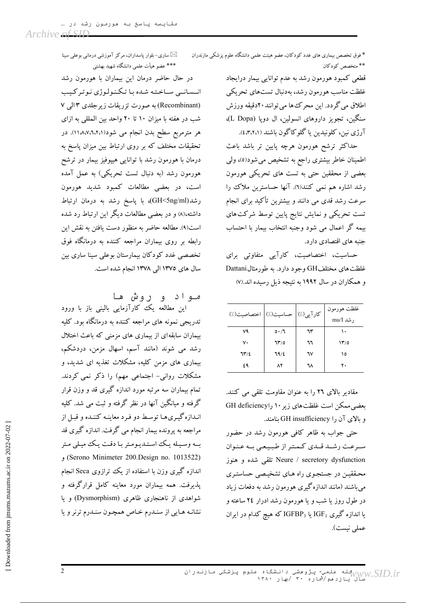\* فوق تخصص بیماری های غدد کودکان، عضو هیئت علمی دانشگاه علوم پزشکی مازندران \*\* متخصص کودکان

> قطعي كمبود هورمون رشد به عدم توانايي بيمار درايجاد غلظت مناسب هورمون رشد، بهدنبال تستهاى تحريكي اطلاق مي گردد. اين محرك ها مي توانند ٢٠دقيقه ورزش سنگین، تجویز داروهای انسولین، ال دویا (L Dopa)، آرژي نين، كلونيدين يا گلوكاگون باشند (٤،٣،٢،١).

> حداكثر ترشح هورمون هرچه پايين تر باشد باعث اطمینان خاطر بیشتری راجع به تشخیص می شود(٥)، ولی بعضی از محققین حتی به تست های تحریکی هورمون رشد اشاره هم نمی کنند(٦). آنها حساسترین ملاک را سرعت رشد قدی می دانند و بیشترین تأکید برای انجام تست تحریکی و نمایش نتایج پایین توسط شرکت های بیمه گر اعمال می شود وجنبه انتخاب بیمار با احتساب جنبه های اقتصادی دارد.

> حساسیت، اختصاصیت، کارآیی متفاوتی برای غلظت های مختلفGH وجود دارد. به طورمثالDattani و همکاران در سال ۱۹۹۲ به نتیجه ذیل رسیده اند.(۷)

| كارآيي(٪)   حساسيت(٪)   اختصاصيت(٪) |      |    | غلظت هورمون<br>, شد mu/I |
|-------------------------------------|------|----|--------------------------|
| ٧٩                                  | 0.77 | ٦٣ | ۱۰                       |
| ٧٠                                  | ٦٣/٥ | ٦٦ | ۱۳/٥                     |
| 117/2                               | 79/2 | ٦٧ | ١٥                       |
| ٤٩                                  | ۸۲   | ٦٨ | ٢٠                       |
|                                     |      |    |                          |

مقادیر بالای ٢٦ را به عنوان مقاومت تلقی می کنند. بعضی ممکن است غلظت های زیر ۱۰ راGH deficiency و بالای آن را GH insufficiency بنامند.

حتی جواب به ظاهر کافی هورمون رشد در حضور سرعت رشـد قـدي كـمتر از طبيعي بـه عنوان Neure / secretory dysfunction تلقی شده و هنوز محققین در جستجوی راه هـای تشخیـصی حساستـری می باشند (مانند اندازه گیری هورمون رشد به دفعات زیاد در طول روز یا شب و یا هورمون رشد ادرار ۲٤ ساعته و یا اندازه گیری  $\rm IGF_1$  یا  $\rm IGF_3$  که هیچ کدام در ایران عملي نيست).

ساری-بلوار پاسداران، مرکز آموزشی درمانی بوعلی سینا $\boxtimes$ \*\*\* عضو هیأت علمی دانشگاه شهید بهشتی

در حال حاضر درمان این بیماران با هورمون رشد انـسانـي سـاختـه شـده بـا تـكـنـولـوژي نـوتـركـيب (Recombinant) به صورت تزریقات زیرجلدی ۳ الی ۷ شب در هفته با میزان ۱۰ تا ۲۰ واحد بین المللی به ازای هر مترمربع سطح بدن انجام می شود(۱۱،۸،۷،۲،۲،۱). در تحقیقات مختلف که بر روی ارتباط بین میزان پاسخ به درمان با هورمون رشد با توانایی هیپوفیز بیمار در ترشح هورمون رشد (به دنبال تست تحریکی) به عمل آمده است، در بعضی مطالعات کمبود شدید هورمون رشد(GH<5ng/ml)، با ياسخ رشد به درمان ارتباط داشته،(۸) و در بعضی مطالعات دیگر این ارتباط رد شده است(۹). مطالعه حاضر به منظور دست یافتن به نقش این رابطه بر روی بیماران مراجعه کننده به درمانگاه فوق تخصصی غدد کودکان بیمارستان بوعلی سینا ساری بین سال های ١٣٧٥ الی ١٣٧٨ انجام شده است.

مـواد و روش ها

این مطالعه یک کارآزمایی بالینی باز با ورود تدریجی نمونه های مراجعه کننده به درمانگاه بود. کلیه بیماران سابقهای از بیماری های مزمنی که باعث اختلال رشد می شوند (مانند آسم، اسهال مزمن، دردشکم، بیماری های مزمن کلیه، مشکلات تغذیه ای شدید، و مشکلات روانی- اجتماعی مهم) را ذکر نمی کردند. تمام بیماران سه مرتبه مورد اندازه گیری قد و وزن قرار گرفته و میانگین آنها در نظر گرفته و ثبت می شد. کلیه انـدازه گیـریهـا توسـط دو فـرد معاینـه کننـده و قبـل از مراجعه به پرونده بیمار انجام می گرفت. اندازه گیری قد بـه وسـيـله يـك اسـتـديـومـتر بـا دقـت يـك ميـلي مـتر (Serono Minimeter 200.Design no. 1013522) اندازه گیری وزن با استفاده از یک ترازوی Seca انجام پذیرفت. همه بیماران مورد معاینه کامل قرارگرفته و شواهدی از ناهنجاری ظاهری (Dysmorphism) و یا نشانـه هـايي از سنـدرم خـاص همچـون سنـدرم ترنر ويا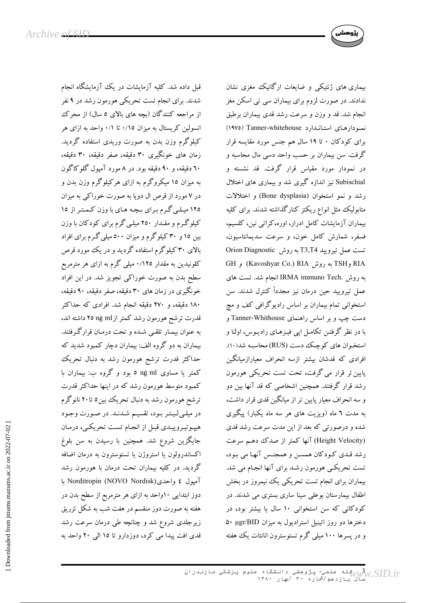

قبل داده شد. کلیه آزمایشات در یک آزمایشگاه انجام شدند. برای انجام تست تحریکی هورمون رشد در ۹ نفر از مراجعه کنندگان (بچه های بالای ۵ سال) از محرک انسولین کریستال به میزان ۰/۱٥ تا ۰/۱ واحد به ازای هر کیلوگرم وزن بدن به صورت وریدی استفاده گردید. زمان های خونگیری ۳۰ دقیقه، صفر دقیقه، ۳۰ دقیقه، ٦٠ دقيقه، و ٩٠ دقيقه بود. در ٨ مورد آميول گلوکاگون به میزان ۱۵ میکروگرم به ازای هرکیلوگرم وزن بدن و در ۷ مورد از قرص ال دوپا به صورت خوراکی به میزان ۱۲۵ میلی گرم برای بچه های با وزن کمتر از ۱۵ کیلوگرم و مقـدار ۲۵۰ میلـی گرم برای کودکان با وزن بین ۱۵ و ۳۰ کیلوگرم و میزان ۵۰۰ میلی گـرم برای افراد بالای ۳۰ کیلوگرم استفاده گردید و در یک مورد قرص کلونیدین به مقدار ۱۲۵/۰ میلی گرم به ازای هر مترمربع سطح بدن به صورت خوراکی تجویز شد. در این افراد خونگیری در زمان های ۳۰ دقیقه، صفر دقیقه، ۹۰ دقیقه، ۱۸۰ دقیقه، و ۲۷۰ دقیقه انجام شد. افرادی که حداکثر قدرت ترشح هورمون رشد كمتر ازng ml ق داشته اند، به عنوان بیمـار تلقـی شـده و تحت درمـان قرارگـرفتند. بیماران به دو گروه الف: بیماران دچار کمبود شدید که حداکثر قدرت ترشح هورمون رشد به دنبال تحریک کمتر یا مساوی ng ml ه بود و گروه ب: بیماران با کمبود متوسط هورمون رشد که در اینها حداکثر قدرت ترشح هورمون رشد به دنبال تحریک بین0 تا۲۰ نانوگرم در میلی لیتر بود، تقسیم شدند. در صورت وجود هیپوتیروییدی قبل از انجام تست تحریکی، درمان جایگزین شروع شد. همچنین با رسیدن به سن بلوغ اكساندرولون يا استروژن يا تستوسترون به درمان اضافه گردید. در کلیه بیماران تحت درمان با هورمون رشد آمیول ٤ واحدی(Norditropin (NOVO Nordisk دوز ابتدایی ۱۰واحد به ازای هر مترمربع از سطح بدن در هفته به صورت دوز منقسم در هفت شب به شکل تزریق زیرجلدی شروع شد و چنانچه طی درمان سرعت رشد قدی افت پیدا می کرد، دوزدارو تا ١٥ البی ٢٠ واحد به بیماری های ژنتیکی و ضایعات ارگانیک مغزی نشان ندادند. در صورت لزوم برای بیماران سی تی اسکن مغز انجام شد. قد و وزن و سرعت رشد قدی بیماران برطبق نمودارهای استاندارد Tanner-whitehouse (١٩٧٥) برای کودکان ۰ تا ۱۹ سال هم جنس مورد مقایسه قرار گرفت. سن بیماران بر حسب واحد دسی مال محاسبه و در نمودار مورد مقیاس قرار گرفت. قد نشسته و Subischial نیز اندازه گیری شد و بیماری های اختلال رشد و نمو استخوان (Bone dysplasia) و اختلالات متابولیک مثل انواع ریکتز کنارگذاشته شدند. برای کلیه بیماران آزمایشات کامل ادرار، اوره،کراتی نین، کلسیم، فسفر، شمارش كامل خون، و سرعت سديمانتاسيون، تست عمل تيروييد T3,T4 به روش Orion Diagnostic RIA و TSH به روش Kavoshyar Co.) RIA و GH به روش .IRMA immuno Tech انجام شد. تست های عمل تیرویید حین درمان نیز مجدداً کنترل شدند. سن استخوانی تمام بیماران بر اساس رادیوگرافی کف و مچ دست چپ و بر اساس راهنمای Tanner-Whithouse و با در نظر گرفتـن تکامـل اپی فیـزهـای رادیـوس، اولنا و استخوان های کوچک دست (RUS) محاسبه شد(۱۰). افرادی که قدشان بیشتر ازسه انحراف معیارازمیانگین پایین تر قرار می گرفت، تحت تست تحریکی هورمون رشد قرار گرفتند. همچنین اشخاصی که قد آنها بین دو و سه انحراف معیار پایین تر از میانگین قدی قرار داشت، به مدت ٦ ماه (ویزیت های هر سه ماه یکبار) پیگیری شده و درصورتی که بعد از این مدت سرعت رشد قدی (Height Velocity) آنها کمتر از صدک دهم سرعت رشد قـدي كـودكان همسـن و همجنـس آنهـا مى بـود، تست تحریکی هورمون رشد برای آنها انجام می شد. بیماران برای انجام تست تحریکی یک نیمروز در بخش اطفال بیمارستان بوعلی سینا ساری بستری می شدند. در کودکانی که سن استخوانی ۱۰ سال یا بیشتر بود، در دخترها دو روز اتینیل استرادیول به میزان µgr/BID ۵۰ و در پسرها ۱۰۰ میلی گرم تستوسترون انانتات یک هفته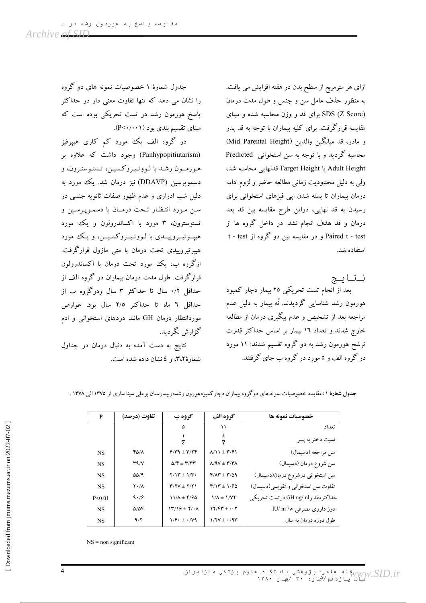ازای هر مترمربع از سطح بدن در هفته افزایش می یافت. به منظور حذف عامل سن و جنس و طول مدت درمان SDS (Z Score) برای قد و وزن محاسبه شده و مبنای مقایسه قرارگرفت. برای کلیه بیماران با توجه به قد پدر و مادر، قد مبانگین والدین (Mid Parental Height) محاسبه گردید و با توجه به سن استخوانی Predicted Adult Height یا Target Height قدنهایی محاسبه شد، ولي به دليل محدوديت زماني مطالعه حاضر و لزوم ادامه درمان بیماران تا بسته شدن اپی فیزهای استخوانی برای رسیدن به قد نهایی، دراین طرح مقایسه بین قد بعد درمان و قد هدف انجام نشد. در داخل گروه ها از Paired t - test و در مقایسه بین دو گروه از t - test استفاده شد.

نتايج بعد از انجام تست تحریکی ۲۵ بیمار دچار کمبود هورمون رشد شناسایی گردیدند. نُه بیمار به دلیل عدم مراجعه بعد از تشخیص و عدم پیگیری درمان از مطالعه خارج شدند و تعداد ۱۲ بیمار بر اساس حداکثر قدرت ترشح هورمون رشد به دو گروه تقسیم شدند: ۱۱ مورد در گروه الف و ٥مورد در گروه ب جای گرفتند.

جدول شمارهٔ ۱ خصوصیات نمونه های دو گروه را نشان می دهد که تنها تفاوت معنی دار در حداکثر پاسخ هورمون رشد در تست تحریکی بوده است که مبنای تقسیم بندی بود (P<۰/۰۰۱).

در گروه الف یک مورد کم کاری هیپوفیز (Panhypopitiutarism) وجود داشت که علاوه بر هورمون رشد با لووتيروكسين، تستوسترون، و دسمویرسین (DDAVP) نیز درمان شد. یک مورد به دلیل شب ادراری و عدم ظهور صفات ثانویه جنسی در سن مورد انتظار تحت درمان با دسمویه سین و تستوسترون، ۳ مورد با اکساندرولون و یک مورد هیپوتیسروییسدی با لـووتـیسروکسـیــن، و یـک مورد هیپرتیروییدی تحت درمان با متبی مازول قرارگرفت. ازگروه ب، یک مورد تحت درمان با اکساندرولون قرارگرفت. طول مدت درمان بیماران در گروه الف از حداقل ۰/۲ سال تا حداکثر ۳ سال ودرگروه ب از حداقل ٦ ماه تا حداكثر ٢/٥ سال بود. عوارض موردانتظار درمان GH مانند دردهای استخوانی و ادم گزارش نگردید.

نتايج به دست آمده به دنبال درمان در جداول شمارهٔ ۳،۲، و ٤ نشان داده شده است.

| P         | تفاوت (درصد)        | گروه ب                                                  | گروه الف                                                  | خصوصیات نمونه ها                                |
|-----------|---------------------|---------------------------------------------------------|-----------------------------------------------------------|-------------------------------------------------|
|           |                     | ۵                                                       | ۱۱                                                        | تعداد                                           |
|           |                     |                                                         |                                                           | نسبت دختر به پسر                                |
| <b>NS</b> | 40/8                | $F/T9 \pm T/7F$                                         | $\Lambda/\mathrm{11} \pm \mathrm{Y}/\mathrm{51}$          | سن مراجعه (دسيمال)                              |
| <b>NS</b> | T9/Y                | $\Delta/\mathbf{F} \pm \mathbf{Y}/\mathbf{Y}\mathbf{Y}$ | $\Lambda$ / $\Lambda$ $\Lambda$ $\pm$ $\Lambda$ $\Lambda$ | سن شروع درمان (دسیمال)                          |
| <b>NS</b> | 5519                | $Y/Y^* \pm Y/Y$                                         | $Y/\Lambda T = Y/\Delta Q$                                | سن استخواني درشروع درمان(دسيمال)                |
| <b>NS</b> | $Y \cdot / \Lambda$ | $Y/YY \pm Y/Y$                                          | $F/17 \pm 1/90$                                           | تفاوت سن استخواني و تقويمي(دسيمال)              |
| P < 0.01  | 9.79                | $11/A \pm \frac{6}{90}$                                 | $1/\Lambda \pm 1/\gamma$                                  | حداكثرمقدار GH ng/ml درتست تحريكي               |
| <b>NS</b> | $\Delta/\Delta f$   | $\Upsilon/\Upsilon \pm \Upsilon/\Upsilon$               | $17/FY \pm 1.7$                                           | $\text{IU}/\text{m}^2/\text{w}$ دوز داروی مصرفی |
| <b>NS</b> | 9/7                 | $1/F + \pm \cdot/Y9$                                    | $1/7V \pm 1/9T$                                           | طول دوره درمان به سال                           |

جدول شعارهٔ ۱: مقایسه خصوصیات نمونه های دوگروه بیماران دچارکمبودهورون رشددرییمارستان بوعلی سینا ساری از ۱۳۷۵ الی ۱۳۷۸ .

 $NS =$  non significant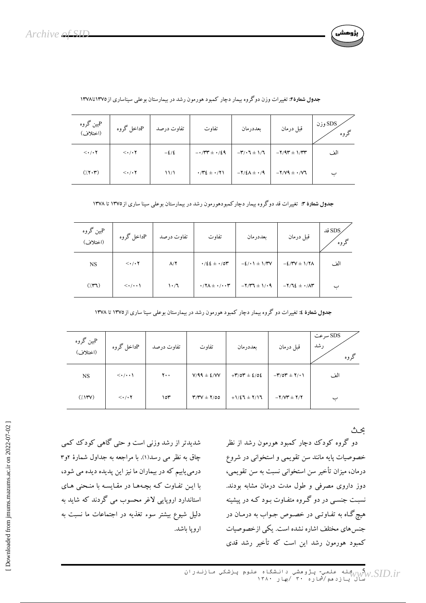

| Pبین گروه<br>(اختلاف)           | Pداخل گروه                    | تفاوت درصد     | تفاوت                                                       | ىعددرمان                                                      | قبل درمان                                                              | SDS وزن<br>گروه |
|---------------------------------|-------------------------------|----------------|-------------------------------------------------------------|---------------------------------------------------------------|------------------------------------------------------------------------|-----------------|
| $\langle \cdot / \cdot \rangle$ | $\langle \cdot/\cdot \rangle$ | $-\frac{2}{2}$ | $-1/TT \pm 1/29$                                            | $-\mathbf{r}/\cdot \mathbf{t} \pm 1/\mathbf{t}$               | $-\mathbf{Y}/\mathbf{A}\mathbf{r} \pm \mathbf{1}/\mathbf{r}\mathbf{r}$ | الف             |
| $(\gamma, \gamma, \tau)$        | $\langle \cdot/\cdot \rangle$ | 11/1           | $\cdot$ / $\cdot$ / $\cdot$ / $\cdot$ / $\cdot$ / $\cdot$ / | $-\mathbf{Y}/\mathbf{\mathcal{E}}\wedge \pm \cdot/\mathbf{Y}$ | $-Y/V9 + Y/V7$                                                         |                 |

|  |  |  |  | جدول شمارهٔ۲: تغییرات وزن دوگروه بیمار دچار کمبود هورمون رشد در بیمارستان بوعلی سیناساری از۱۳۷۵تا۱۳۷۸ |  |
|--|--|--|--|-------------------------------------------------------------------------------------------------------|--|
|--|--|--|--|-------------------------------------------------------------------------------------------------------|--|

جدول شمارهٔ ۳: تغییرات قد دوگروه بیمار دچارکمبودهورمون رشد در بیمارستان بوعلی سینا ساری از ۱۳۷۵ تا ۱۳۷۸

| بين گروه $\mathrm{P}% _{k}(G)$<br>(اختلاف) | Pداخل گروه                         | تفاوت درصد         | تفاوت                                         | ىعددرمان         | قبل درمان                     | SDS قد<br>گروه |
|--------------------------------------------|------------------------------------|--------------------|-----------------------------------------------|------------------|-------------------------------|----------------|
| <b>NS</b>                                  | $\langle \cdot/\cdot \rangle$      | $\Lambda/\Upsilon$ | $\cdot$ /22 $\pm$ $\cdot$ /0۳                 | $-2/1$ + 1/۳V    | $-2/7V \pm 1/7\Lambda$        | الف            |
| $(\gamma \mathbf{r})$                      | $\langle \cdot/\cdot\cdot \rangle$ | 1.7                | $\cdot$ /7 $\Lambda \pm \cdot$ / $\cdot \tau$ | $-7/T7 \pm 1/19$ | $-Y/TE \pm \cdot / \Lambda T$ | ب              |

|  | جدول شمارهٔ ٤: تغییرات دو گروه بیمار دچار کمبود هورمون رشد در بیمارستان بوعلی سینا ساری از۱۳۷۵ تا ۱۳۷۸ |  |  |
|--|--------------------------------------------------------------------------------------------------------|--|--|
|--|--------------------------------------------------------------------------------------------------------|--|--|

| Pبین گروه<br>(اختلاف)                                   | Pداخل گروه                         | تفاوت درصد     | تفاوت                  | بعددرمان                                                                | قبل درمان                                                    | SDS سرعت<br>رشد<br>گروه |
|---------------------------------------------------------|------------------------------------|----------------|------------------------|-------------------------------------------------------------------------|--------------------------------------------------------------|-------------------------|
| NS.                                                     | $\langle \cdot/\cdot\cdot \rangle$ | $\mathbf{y}$ . | $V/99 \pm \frac{2}{3}$ | $+ \mathbf{r}/\mathbf{0}\mathbf{r} \pm \mathbf{2}/\mathbf{0}\mathbf{2}$ | $-\mathbf{r}/\mathbf{0}\mathbf{r} \pm \mathbf{r}/\mathbf{0}$ | الف                     |
| $(\langle \mathcal{N}^{\mathsf{r}} \mathsf{V} \rangle)$ | $\langle \cdot/\cdot \rangle$      | ۱٥٣            | $Y/Y$ $\pm$ $Y/00$     | $+1/27 \pm 7/17$                                                        | $-Y/VT \pm Y/Y$                                              | ب                       |

ىحت

دو گروه کودک دچار کمبود هورمون رشد از نظر خصوصیات پایه مانند سن تقویمی و استخوانی در شروع درمان، میزان تأخیر سن استخوانی نسبت به سن تقویمی، دوز داروی مصرفی و طول مدت درمان مشابه بودند. نسبت جنسبی در دو گـروه متفـاوت بـود کـه در پیشینه هیچ گـاه به تفـاوتـي در خصـوص جـواب به درمـان در جنس های مختلف اشاره نشده است. یکی از خصوصیات کمبود هورمون رشد این است که تأخیر رشد قدی

شدیدتر از رشد وزنی است و حتی گاهی کودک کمی چاق به نظر می رسد(۱). با مراجعه به جداول شمارهٔ ۲و۳ درمی یابیم که در بیماران ما نیز این پدیده دیده می شود، با ایـن تفـاوت کـه بچـههـا در مقـایسـه با منـحنی هـای استاندارد اروپایی لاغر محسوب می گردند که شاید به دلیل شیوع بیشتر سوء تغذیه در اجتماعات ما نسبت به اروپا پاشد.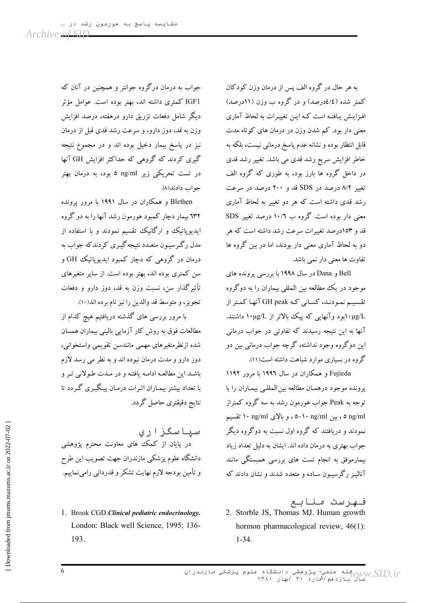به هر حال در گروه الف پس از درمان وزن کودکان کمتر شده (٤/٤درصد) و در گروه ب وزن (١١درصد) افـزايـش يـافتـه است كـه ايـن تغييـرات به لحاظ آماري معنی دار بود. کم شدن وزن در درمان های کوتاه مدت قابل انتظار بوده و نشانه عدم یاسخ درمانی نیست، بلکه به خاطر افزایش سریع رشد قدی می باشد. تغییر رشد قدی در داخل گروه ها بارز بود، به طوری که گروه الف تغییر ۸/۲ درصد در SDS قد و ۲۰۰ درصد در سرعت رشد قدی داشته است که هر دو تغییر به لحاظ آماری معنی دار بوده است. گروه ب ۱۰/٦ درصد تغییر SDS قد و ۱۵۳درصد تغییرات سرعت رشد داشته است که هر دو به لحاظ آماری معنی دار بودند، اما در بین گروه ها تفاوت ها معنی دار نمی باشد.

Bell و Dana در سال ۱۹۹۸ با بررسی پرونده های موجود در يک مطالعه بين المللي بيماران را به دوگروه تقسیم نمودنـد، کسـانی کـه GH peak آنهـا کمـتر از ٠μg/Lبود وآنهایی که پیک بالاتر از ١٠μg/Lداشتند. آنها به این نتیجه رسیدند که تفاوتی در جواب درمانی این دوگروه وجود نداشته، گرچه جواب درمانی بین دو گروه در بساری موارد شباهت داشته است(۱۱).

Fujieda و همکاران در سال ۱۹۹۲ با مرور ۱۱۹۲ پرونده موجود درهمان مطالعه بين المللـي بيمـاران را با توجه به Peak جواب هورمون رشد به سه گروه کمتراز o ng/ml ، بین ng/ml− ، و بالای ng/ml ۱۰ تقسیم نمودند و دریافتند که گروه اول نسبت به دوگروه دیگر جواب بهتری به درمان داده اند. ایشان به دلیل تعداد زیاد بیمارموفق به انجام تست های بررسی همبستگی مانند آنالین رگرسیون ساده و متعدد شدند و نشان دادند که

فـهرست مـنابـع 2. Storble JS, Thomas MJ. Human growth hormon pharmacological review, 46(1):  $1 - 34$ .

جواب به درمان درگروه جوانتر و همچنین در آنان که IGF1 کمتری داشته اند، بهتر بوده است. عوامل مؤثر دیگر شامل دفعات تزریق دارو درهفته، درصد افزایش وزن به قد، دوز دارو، و سرعت رشد قدی قبل از درمان نیز در یاسخ بیمار دخیل بوده اند و در مجموع نتیجه گیری کردند که گروهی که حداکثر افزایش GH آنها در تست تحریکی زیر ng/ml ٥ بود، به درمان بهتر جواب دادند(٨).

Blethen و همکاران در سال ۱۹۹۱ با مرور پرونده **۱۳۲** بیمار دچار کمبود هورمون رشد آنها را به دو گروه ایدیویاتیک و ارگانیک تقسیم نمودند و با استفاده از مدل رگرسیـون متعـدد نتیجه گیـری کردندکه جواب به درمان در گروهی که دچار کمبود ایدیوپاتیک GH و سن کمتری بوده اند، بهتر بوده است. از سایر متغیرهای تأثیر گذار سن، نسبت وزن به قد، دوز دارو و دفعات تجویز، و متوسط قد والدین را نیز نام برده اند(١٠).

با مرور بررسی های گذشته دریافتیم هیچ کدام از مطالعات فوق به روش كار آزمايي باليني بيماران همسان شده ازنظرمتغیرهای مهمی مانندسن تقویمی واستخوانی، دوز دارو و مدت درمان نبوده اند و به نظر می رسد لازم باشد این مطالعه ادامه یافته و در مـدت طـولانی تـر و با تعداد بیشتر بیمـاران اثـرات درمـان پیـگیـری گـر دد تا نتايج دقيقتري حاصل گردد.

سیاسگزاری .<br>در پایان از کمک ّهای معاونت محترم پژوهشی دانشگاه علوم یزشکی مازندران جهت تصویب این طرح و تأمین بودجه لازم نهایت تشکر و قدردانی رامی نماییم.

1. Brook CGD.Clinical pediatric endocrinology. London: Black well Science, 1995; 136-193.